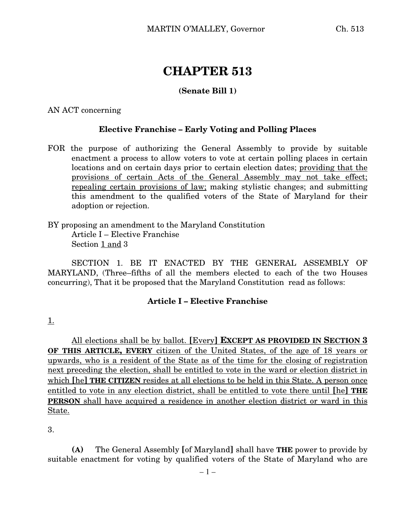# **CHAPTER 513**

# **(Senate Bill 1)**

AN ACT concerning

## **Elective Franchise – Early Voting and Polling Places**

FOR the purpose of authorizing the General Assembly to provide by suitable enactment a process to allow voters to vote at certain polling places in certain locations and on certain days prior to certain election dates; providing that the provisions of certain Acts of the General Assembly may not take effect; repealing certain provisions of law; making stylistic changes; and submitting this amendment to the qualified voters of the State of Maryland for their adoption or rejection.

BY proposing an amendment to the Maryland Constitution Article I – Elective Franchise Section 1 and 3

SECTION 1. BE IT ENACTED BY THE GENERAL ASSEMBLY OF MARYLAND, (Three–fifths of all the members elected to each of the two Houses concurring), That it be proposed that the Maryland Constitution read as follows:

#### **Article I – Elective Franchise**

1.

All elections shall be by ballot. **[**Every**] EXCEPT AS PROVIDED IN SECTION 3 OF THIS ARTICLE, EVERY** citizen of the United States, of the age of 18 years or upwards, who is a resident of the State as of the time for the closing of registration next preceding the election, shall be entitled to vote in the ward or election district in which **[**he**] THE CITIZEN** resides at all elections to be held in this State. A person once entitled to vote in any election district, shall be entitled to vote there until **[**he**] THE PERSON** shall have acquired a residence in another election district or ward in this State.

3.

**(A)** The General Assembly **[**of Maryland**]** shall have **THE** power to provide by suitable enactment for voting by qualified voters of the State of Maryland who are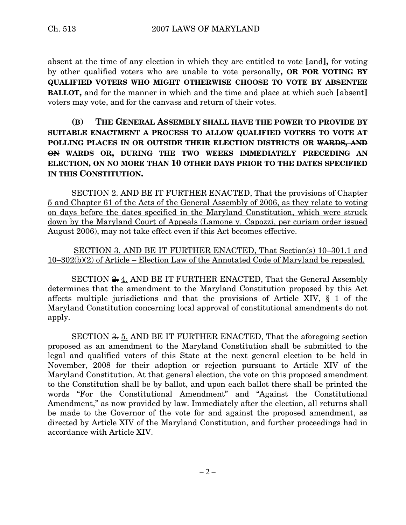absent at the time of any election in which they are entitled to vote **[**and**],** for voting by other qualified voters who are unable to vote personally**, OR FOR VOTING BY QUALIFIED VOTERS WHO MIGHT OTHERWISE CHOOSE TO VOTE BY ABSENTEE BALLOT,** and for the manner in which and the time and place at which such **[**absent**]** voters may vote, and for the canvass and return of their votes.

# **(B) THE GENERAL ASSEMBLY SHALL HAVE THE POWER TO PROVIDE BY SUITABLE ENACTMENT A PROCESS TO ALLOW QUALIFIED VOTERS TO VOTE AT POLLING PLACES IN OR OUTSIDE THEIR ELECTION DISTRICTS OR WARDS, AND ON WARDS OR, DURING THE TWO WEEKS IMMEDIATELY PRECEDING AN ELECTION, ON NO MORE THAN 10 OTHER DAYS PRIOR TO THE DATES SPECIFIED IN THIS CONSTITUTION.**

SECTION 2. AND BE IT FURTHER ENACTED, That the provisions of Chapter 5 and Chapter 61 of the Acts of the General Assembly of 2006, as they relate to voting on days before the dates specified in the Maryland Constitution, which were struck down by the Maryland Court of Appeals (Lamone v. Capozzi, per curiam order issued August 2006), may not take effect even if this Act becomes effective.

## SECTION 3. AND BE IT FURTHER ENACTED, That Section(s) 10–301.1 and 10–302(b)(2) of Article – Election Law of the Annotated Code of Maryland be repealed.

SECTION <del>2.</del> 4. AND BE IT FURTHER ENACTED, That the General Assembly determines that the amendment to the Maryland Constitution proposed by this Act affects multiple jurisdictions and that the provisions of Article XIV, § 1 of the Maryland Constitution concerning local approval of constitutional amendments do not apply.

SECTION <del>3.</del> 5. AND BE IT FURTHER ENACTED, That the aforegoing section proposed as an amendment to the Maryland Constitution shall be submitted to the legal and qualified voters of this State at the next general election to be held in November, 2008 for their adoption or rejection pursuant to Article XIV of the Maryland Constitution. At that general election, the vote on this proposed amendment to the Constitution shall be by ballot, and upon each ballot there shall be printed the words "For the Constitutional Amendment" and "Against the Constitutional Amendment," as now provided by law. Immediately after the election, all returns shall be made to the Governor of the vote for and against the proposed amendment, as directed by Article XIV of the Maryland Constitution, and further proceedings had in accordance with Article XIV.